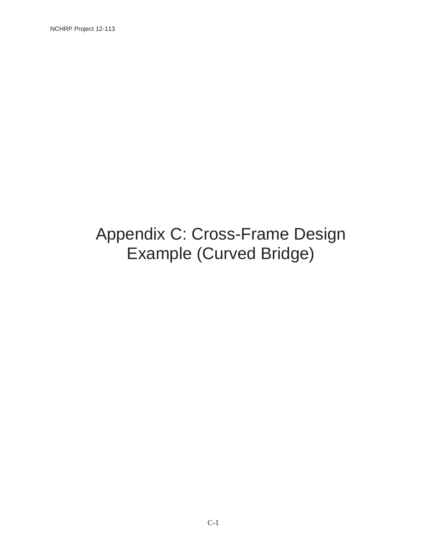# Appendix C: Cross-Frame Design Example (Curved Bridge)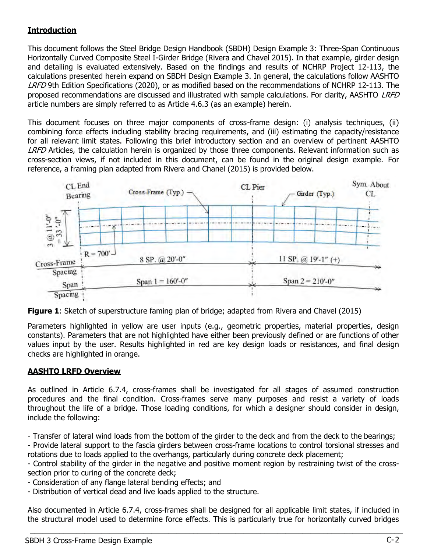# **Introduction**

This document follows the Steel Bridge Design Handbook (SBDH) Design Example 3: Three-Span Continuous Horizontally Curved Composite Steel I-Girder Bridge (Rivera and Chavel 2015). In that example, girder design and detailing is evaluated extensively. Based on the findings and results of NCHRP Project 12-113, the calculations presented herein expand on SBDH Design Example 3. In general, the calculations follow AASHTO LRFD 9th Edition Specifications (2020), or as modified based on the recommendations of NCHRP 12-113. The proposed recommendations are discussed and illustrated with sample calculations. For clarity, AASHTO LRFD article numbers are simply referred to as Article 4.6.3 (as an example) herein.

This document focuses on three major components of cross-frame design: (i) analysis techniques, (ii) combining force effects including stability bracing requirements, and (iii) estimating the capacity/resistance for all relevant limit states. Following this brief introductory section and an overview of pertinent AASHTO LRFD Articles, the calculation herein is organized by those three components. Relevant information such as cross-section views, if not included in this document, can be found in the original design example. For reference, a framing plan adapted from Rivera and Chanel (2015) is provided below.



**Figure 1:** Sketch of superstructure faming plan of bridge; adapted from Rivera and Chavel (2015)

Parameters highlighted in yellow are user inputs (e.g., geometric properties, material properties, design constants). Parameters that are not highlighted have either been previously defined or are functions of other values input by the user. Results highlighted in red are key design loads or resistances, and final design checks are highlighted in orange.

# AASHTO LRFD Overview

As outlined in Article 6.7.4, cross-frames shall be investigated for all stages of assumed construction procedures and the final condition. Cross-frames serve many purposes and resist a variety of loads throughout the life of a bridge. Those loading conditions, for which a designer should consider in design, include the following:

- Transfer of lateral wind loads from the bottom of the girder to the deck and from the deck to the bearings;

- Provide lateral support to the fascia girders between cross-frame locations to control torsional stresses and rotations due to loads applied to the overhangs, particularly during concrete deck placement;

- Control stability of the girder in the negative and positive moment region by restraining twist of the crosssection prior to curing of the concrete deck;

- Consideration of any flange lateral bending effects; and
- Distribution of vertical dead and live loads applied to the structure.

Also documented in Article 6.7.4, cross-frames shall be designed for all applicable limit states, if included in the structural model used to determine force effects. This is particularly true for horizontally curved bridges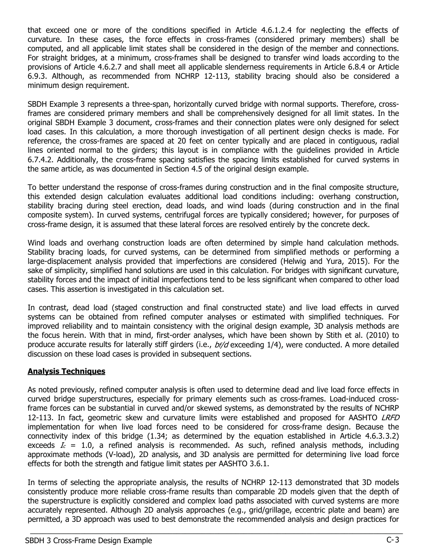that exceed one or more of the conditions specified in Article 4.6.1.2.4 for neglecting the effects of curvature. In these cases, the force effects in cross-frames (considered primary members) shall be computed, and all applicable limit states shall be considered in the design of the member and connections. For straight bridges, at a minimum, cross-frames shall be designed to transfer wind loads according to the provisions of Article 4.6.2.7 and shall meet all applicable slenderness requirements in Article 6.8.4 or Article 6.9.3. Although, as recommended from NCHRP 12-113, stability bracing should also be considered a minimum design requirement.

SBDH Example 3 represents a three-span, horizontally curved bridge with normal supports. Therefore, crossframes are considered primary members and shall be comprehensively designed for all limit states. In the original SBDH Example 3 document, cross-frames and their connection plates were only designed for select load cases. In this calculation, a more thorough investigation of all pertinent design checks is made. For reference, the cross-frames are spaced at 20 feet on center typically and are placed in contiguous, radial lines oriented normal to the girders; this layout is in compliance with the guidelines provided in Article 6.7.4.2. Additionally, the cross-frame spacing satisfies the spacing limits established for curved systems in the same article, as was documented in Section 4.5 of the original design example.

To better understand the response of cross-frames during construction and in the final composite structure, this extended design calculation evaluates additional load conditions including: overhang construction, stability bracing during steel erection, dead loads, and wind loads (during construction and in the final composite system). In curved systems, centrifugal forces are typically considered; however, for purposes of cross-frame design, it is assumed that these lateral forces are resolved entirely by the concrete deck.

Wind loads and overhang construction loads are often determined by simple hand calculation methods. Stability bracing loads, for curved systems, can be determined from simplified methods or performing a large-displacement analysis provided that imperfections are considered (Helwig and Yura, 2015). For the sake of simplicity, simplified hand solutions are used in this calculation. For bridges with significant curvature, stability forces and the impact of initial imperfections tend to be less significant when compared to other load cases. This assertion is investigated in this calculation set.

In contrast, dead load (staged construction and final constructed state) and live load effects in curved systems can be obtained from refined computer analyses or estimated with simplified techniques. For improved reliability and to maintain consistency with the original design example, 3D analysis methods are the focus herein. With that in mind, first-order analyses, which have been shown by Stith et al. (2010) to produce accurate results for laterally stiff girders (i.e., bf/d exceeding 1/4), were conducted. A more detailed discussion on these load cases is provided in subsequent sections.

### **Analysis Techniques**

As noted previously, refined computer analysis is often used to determine dead and live load force effects in curved bridge superstructures, especially for primary elements such as cross-frames. Load-induced crossframe forces can be substantial in curved and/or skewed systems, as demonstrated by the results of NCHRP 12-113. In fact, geometric skew and curvature limits were established and proposed for AASHTO LRFD implementation for when live load forces need to be considered for cross-frame design. Because the connectivity index of this bridge (1.34; as determined by the equation established in Article 4.6.3.3.2) exceeds  $I_c = 1.0$ , a refined analysis is recommended. As such, refined analysis methods, including approximate methods (V-load), 2D analysis, and 3D analysis are permitted for determining live load force effects for both the strength and fatigue limit states per AASHTO 3.6.1.

In terms of selecting the appropriate analysis, the results of NCHRP 12-113 demonstrated that 3D models consistently produce more reliable cross-frame results than comparable 2D models given that the depth of the superstructure is explicitly considered and complex load paths associated with curved systems are more accurately represented. Although 2D analysis approaches (e.g., grid/grillage, eccentric plate and beam) are permitted, a 3D approach was used to best demonstrate the recommended analysis and design practices for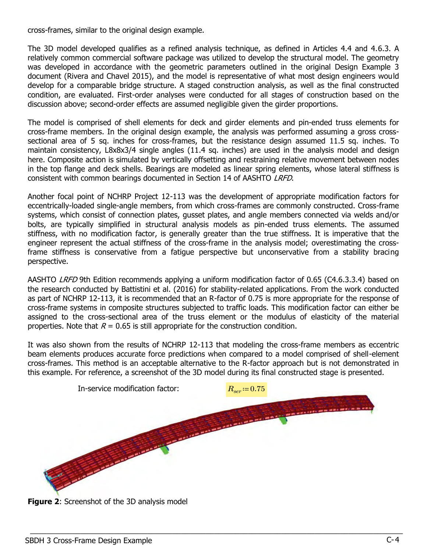cross-frames, similar to the original design example.

The 3D model developed qualifies as a refined analysis technique, as defined in Articles 4.4 and 4.6.3. A relatively common commercial software package was utilized to develop the structural model. The geometry was developed in accordance with the geometric parameters outlined in the original Design Example 3 document (Rivera and Chavel 2015), and the model is representative of what most design engineers would develop for a comparable bridge structure. A staged construction analysis, as well as the final constructed condition, are evaluated. First-order analyses were conducted for all stages of construction based on the discussion above; second-order effects are assumed negligible given the girder proportions.

The model is comprised of shell elements for deck and girder elements and pin-ended truss elements for cross-frame members. In the original design example, the analysis was performed assuming a gross crosssectional area of 5 sq. inches for cross-frames, but the resistance design assumed 11.5 sq. inches. To maintain consistency, L8x8x3/4 single angles (11.4 sq. inches) are used in the analysis model and design here. Composite action is simulated by vertically offsetting and restraining relative movement between nodes in the top flange and deck shells. Bearings are modeled as linear spring elements, whose lateral stiffness is consistent with common bearings documented in Section 14 of AASHTO LRFD.

Another focal point of NCHRP Project 12-113 was the development of appropriate modification factors for eccentrically-loaded single-angle members, from which cross-frames are commonly constructed. Cross-frame systems, which consist of connection plates, gusset plates, and angle members connected via welds and/or bolts, are typically simplified in structural analysis models as pin-ended truss elements. The assumed stiffness, with no modification factor, is generally greater than the true stiffness. It is imperative that the engineer represent the actual stiffness of the cross-frame in the analysis model; overestimating the crossframe stiffness is conservative from a fatigue perspective but unconservative from a stability bracing perspective.

AASHTO LRFD 9th Edition recommends applying a uniform modification factor of 0.65 (C4.6.3.3.4) based on the research conducted by Battistini et al. (2016) for stability-related applications. From the work conducted as part of NCHRP 12-113, it is recommended that an R-factor of 0.75 is more appropriate for the response of cross-frame systems in composite structures subjected to traffic loads. This modification factor can either be assigned to the cross-sectional area of the truss element or the modulus of elasticity of the material properties. Note that  $R = 0.65$  is still appropriate for the construction condition.

It was also shown from the results of NCHRP 12-113 that modeling the cross-frame members as eccentric beam elements produces accurate force predictions when compared to a model comprised of shell-element cross-frames. This method is an acceptable alternative to the R-factor approach but is not demonstrated in this example. For reference, a screenshot of the 3D model during its final constructed stage is presented.



**Figure 2:** Screenshot of the 3D analysis model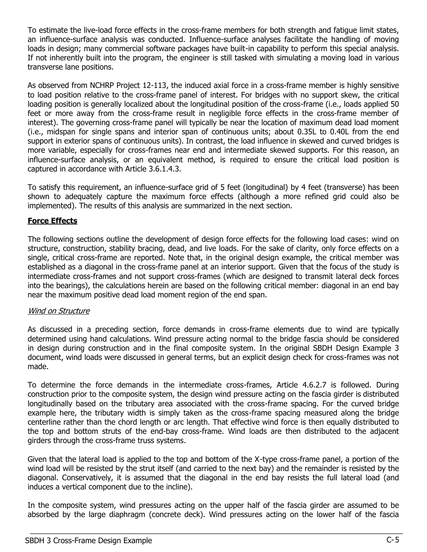To estimate the live-load force effects in the cross-frame members for both strength and fatigue limit states, an influence-surface analysis was conducted. Influence-surface analyses facilitate the handling of moving loads in design; many commercial software packages have built-in capability to perform this special analysis. If not inherently built into the program, the engineer is still tasked with simulating a moving load in various transverse lane positions.

As observed from NCHRP Project 12-113, the induced axial force in a cross-frame member is highly sensitive to load position relative to the cross-frame panel of interest. For bridges with no support skew, the critical loading position is generally localized about the longitudinal position of the cross-frame (i.e., loads applied 50 feet or more away from the cross-frame result in negligible force effects in the cross-frame member of interest). The governing cross-frame panel will typically be near the location of maximum dead load moment (i.e., midspan for single spans and interior span of continuous units; about 0.35L to 0.40L from the end support in exterior spans of continuous units). In contrast, the load influence in skewed and curved bridges is more variable, especially for cross-frames near end and intermediate skewed supports. For this reason, an influence-surface analysis, or an equivalent method, is required to ensure the critical load position is captured in accordance with Article 3.6.1.4.3.

To satisfy this requirement, an influence-surface grid of 5 feet (longitudinal) by 4 feet (transverse) has been shown to adequately capture the maximum force effects (although a more refined grid could also be implemented). The results of this analysis are summarized in the next section.

# Force Effects

The following sections outline the development of design force effects for the following load cases: wind on structure, construction, stability bracing, dead, and live loads. For the sake of clarity, only force effects on a single, critical cross-frame are reported. Note that, in the original design example, the critical member was established as a diagonal in the cross-frame panel at an interior support. Given that the focus of the study is intermediate cross-frames and not support cross-frames (which are designed to transmit lateral deck forces into the bearings), the calculations herein are based on the following critical member: diagonal in an end bay near the maximum positive dead load moment region of the end span.

### Wind on Structure

As discussed in a preceding section, force demands in cross-frame elements due to wind are typically determined using hand calculations. Wind pressure acting normal to the bridge fascia should be considered in design during construction and in the final composite system. In the original SBDH Design Example 3 document, wind loads were discussed in general terms, but an explicit design check for cross-frames was not made.

To determine the force demands in the intermediate cross-frames, Article 4.6.2.7 is followed. During construction prior to the composite system, the design wind pressure acting on the fascia girder is distributed longitudinally based on the tributary area associated with the cross-frame spacing. For the curved bridge example here, the tributary width is simply taken as the cross-frame spacing measured along the bridge centerline rather than the chord length or arc length. That effective wind force is then equally distributed to the top and bottom struts of the end-bay cross-frame. Wind loads are then distributed to the adjacent girders through the cross-frame truss systems.

Given that the lateral load is applied to the top and bottom of the X-type cross-frame panel, a portion of the wind load will be resisted by the strut itself (and carried to the next bay) and the remainder is resisted by the diagonal. Conservatively, it is assumed that the diagonal in the end bay resists the full lateral load (and induces a vertical component due to the incline).

In the composite system, wind pressures acting on the upper half of the fascia girder are assumed to be absorbed by the large diaphragm (concrete deck). Wind pressures acting on the lower half of the fascia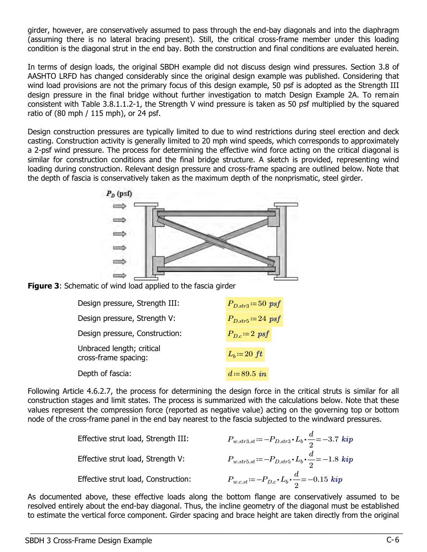girder, however, are conservatively assumed to pass through the end-bay diagonals and into the diaphragm (assuming there is no lateral bracing present). Still, the critical cross-frame member under this loading condition is the diagonal strut in the end bay. Both the construction and final conditions are evaluated herein.

In terms of design loads, the original SBDH example did not discuss design wind pressures. Section 3.8 of AASHTO LRFD has changed considerably since the original design example was published. Considering that wind load provisions are not the primary focus of this design example, 50 psf is adopted as the Strength III design pressure in the final bridge without further investigation to match Design Example 2A. To remain consistent with Table 3.8.1.1.2-1, the Strength V wind pressure is taken as 50 psf multiplied by the squared ratio of (80 mph / 115 mph), or 24 psf.

Design construction pressures are typically limited to due to wind restrictions during steel erection and deck casting. Construction activity is generally limited to 20 mph wind speeds, which corresponds to approximately a 2-psf wind pressure. The process for determining the effective wind force acting on the critical diagonal is similar for construction conditions and the final bridge structure. A sketch is provided, representing wind loading during construction. Relevant design pressure and cross-frame spacing are outlined below. Note that the depth of fascia is conservatively taken as the maximum depth of the nonprismatic, steel girder.





| Design pressure, Strength III:                    | $P_{D,str3} = 50$ psf |
|---------------------------------------------------|-----------------------|
| Design pressure, Strength V:                      | $P_{D,str5} = 24$ psf |
| Design pressure, Construction:                    | $P_{Dc} = 2$ psf      |
| Unbraced length; critical<br>cross-frame spacing: | $L_b = 20 \text{ ft}$ |
| Depth of fascia:                                  | $d = 89.5$ in         |

Following Article 4.6.2.7, the process for determining the design force in the critical struts is similar for all construction stages and limit states. The process is summarized with the calculations below. Note that these values represent the compression force (reported as negative value) acting on the governing top or bottom node of the cross-frame panel in the end bay nearest to the fascia subjected to the windward pressures.

| Effective strut load, Strength III: | $P_{w.str3.st} = -P_{D.str3} \cdot L_b \cdot \frac{d}{2} = -3.7 \; kip$ |
|-------------------------------------|-------------------------------------------------------------------------|
| Effective strut load, Strength V:   | $P_{w.str5.st} = -P_{D.str5} \cdot L_b \cdot \frac{d}{2} = -1.8 \; kip$ |
| Effective strut load, Construction: | $P_{w.c.st} = -P_{D.c} \cdot L_b \cdot \frac{d}{2} = -0.15 \; kip$      |

As documented above, these effective loads along the bottom flange are conservatively assumed to be resolved entirely about the end-bay diagonal. Thus, the incline geometry of the diagonal must be established to estimate the vertical force component. Girder spacing and brace height are taken directly from the original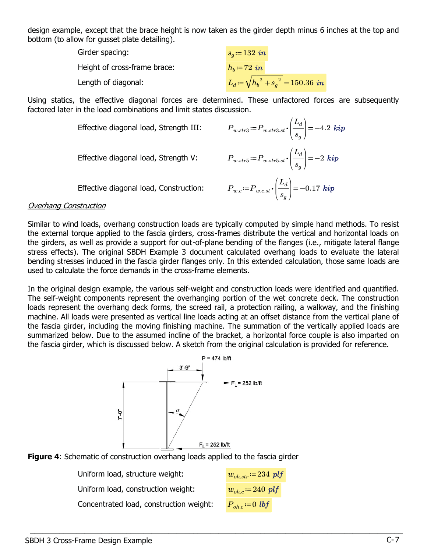design example, except that the brace height is now taken as the girder depth minus 6 inches at the top and bottom (to allow for gusset plate detailing).

| Girder spacing:              | $s_q = 132$ in                           |
|------------------------------|------------------------------------------|
| Height of cross-frame brace: | $h_b = 72$ in                            |
| Length of diagonal:          | $L_d = \sqrt{h_b^2 + s_a^2} = 150.36$ in |

Using statics, the effective diagonal forces are determined. These unfactored forces are subsequently factored later in the load combinations and limit states discussion.

Effective diagonal load, Strength III:

Effective diagonal load, Strength V:

$$
P_{w.str3} := P_{w.str3.st} \cdot \left(\frac{L_d}{s_g}\right) = -4.2 \text{ } kip
$$
\n
$$
P_{w.str5} := P_{w.str5.st} \cdot \left(\frac{L_d}{s_g}\right) = -2 \text{ } kip
$$
\n
$$
P_{w.c} := P_{w.c.st} \cdot \left(\frac{L_d}{s_g}\right) = -0.17 \text{ } kip
$$

⎠

⎝

deg

 $\_$  , and the set of the set of the set of the set of the set of the set of the set of the set of the set of the set of the set of the set of the set of the set of the set of the set of the set of the set of the set of th

Effective diagonal load, Construction:

#### Overhang Construction

Similar to wind loads, overhang construction loads are typically computed by simple hand methods. To resist the external torque applied to the fascia girders, cross-frames distribute the vertical and horizontal loads on the girders, as well as provide a support for out-of-plane bending of the flanges (i.e., mitigate lateral flange stress effects). The original SBDH Example 3 document calculated overhang loads to evaluate the lateral bending stresses induced in the fascia girder flanges only. In this extended calculation, those same loads are used to calculate the force demands in the cross-frame elements.

In the original design example, the various self-weight and construction loads were identified and quantified. The self-weight components represent the overhanging portion of the wet concrete deck. The construction loads represent the overhang deck forms, the screed rail, a protection railing, a walkway, and the finishing machine. All loads were presented as vertical line loads acting at an offset distance from the vertical plane of the fascia girder, including the moving finishing machine. The summation of the vertically applied loads are summarized below. Due to the assumed incline of the bracket, a horizontal force couple is also imparted on the fascia girder, which is discussed below. A sketch from the original calculation is provided for reference.





Uniform load, structure weight:  $w_{oh. str} = 234 \ plf$ Uniform load, construction weight:  $w_{oh.c} = 240 \ plf$ Concentrated load, construction weight:  $P_{abc} = 0$  lbf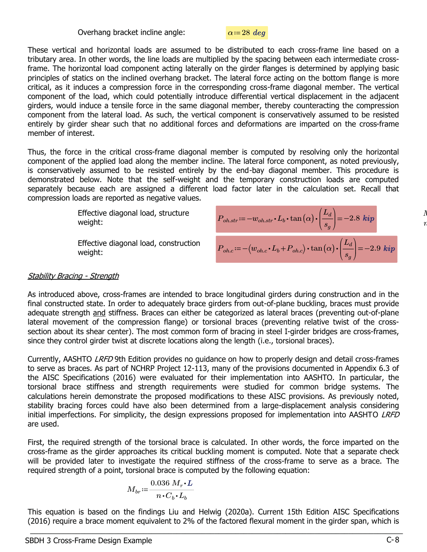Overhang bracket incline angle:  $\alpha = 28 \text{ deg}$ 

These vertical and horizontal loads are assumed to be distributed to each cross-frame line based on a tributary area. In other words, the line loads are multiplied by the spacing between each intermediate crossframe. The horizontal load component acting laterally on the girder flanges is determined by applying basic principles of statics on the inclined overhang bracket. The lateral force acting on the bottom flange is more critical, as it induces a compression force in the corresponding cross-frame diagonal member. The vertical component of the load, which could potentially introduce differential vertical displacement in the adjacent girders, would induce a tensile force in the same diagonal member, thereby counteracting the compression component from the lateral load. As such, the vertical component is conservatively assumed to be resisted entirely by girder shear such that no additional forces and deformations are imparted on the cross-frame member of interest.

Thus, the force in the critical cross-frame diagonal member is computed by resolving only the horizontal component of the applied load along the member incline. The lateral force component, as noted previously, is conservatively assumed to be resisted entirely by the end-bay diagonal member. This procedure is demonstrated below. Note that the self-weight and the temporary construction loads are computed separately because each are assigned a different load factor later in the calculation set. Recall that compression loads are reported as negative values.

> Effective diagonal load, structure weight:

Effective diagonal load, construction  $P_{oh.c} \! := \! - \big($ 

$$
P_{oh. str} := -w_{oh. str} \cdot L_b \cdot \tan(\alpha) \cdot \left(\frac{L_d}{s_g}\right) = -2.8 \text{ kip}
$$
  

$$
P_{oh.c} := -\left(w_{oh.c} \cdot L_b + P_{oh.c}\right) \cdot \tan(\alpha) \cdot \left(\frac{L_d}{s_g}\right) = -2.9 \text{ kip}
$$

#### **Stability Bracing - Strength**

As introduced above, cross-frames are intended to brace longitudinal girders during construction and in the final constructed state. In order to adequately brace girders from out-of-plane buckling, braces must provide adequate strength and stiffness. Braces can either be categorized as lateral braces (preventing out-of-plane lateral movement of the compression flange) or torsional braces (preventing relative twist of the crosssection about its shear center). The most common form of bracing in steel I-girder bridges are cross-frames, since they control girder twist at discrete locations along the length (i.e., torsional braces).

Currently, AASHTO *LRFD* 9th Edition provides no guidance on how to properly design and detail cross-frames to serve as braces. As part of NCHRP Project 12-113, many of the provisions documented in Appendix 6.3 of the AISC Specifications (2016) were evaluated for their implementation into AASHTO. In particular, the torsional brace stiffness and strength requirements were studied for common bridge systems. The calculations herein demonstrate the proposed modifications to these AISC provisions. As previously noted, stability bracing forces could have also been determined from a large-displacement analysis considering initial imperfections. For simplicity, the design expressions proposed for implementation into AASHTO LRFD are used.

First, the required strength of the torsional brace is calculated. In other words, the force imparted on the cross-frame as the girder approaches its critical buckling moment is computed. Note that a separate check will be provided later to investigate the required stiffness of the cross-frame to serve as a brace. The required strength of a point, torsional brace is computed by the following equation:

$$
M_{br}\!:=\!\frac{0.036~M_r\!\cdot\!L}{n\!\cdot\!C_b\!\cdot\!L_b}
$$

This equation is based on the findings Liu and Helwig (2020a). Current 15th Edition AISC Specifications (2016) require a brace moment equivalent to 2% of the factored flexural moment in the girder span, which is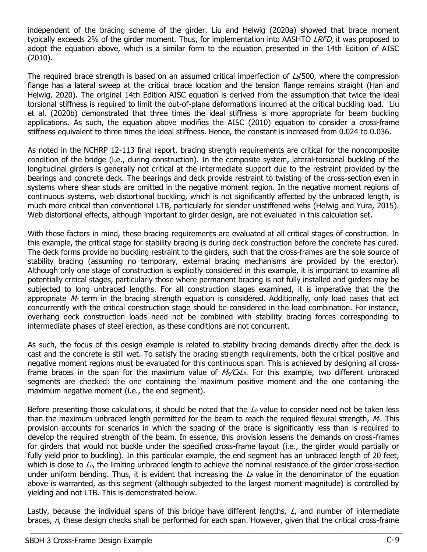independent of the bracing scheme of the girder. Liu and Helwig (2020a) showed that brace moment typically exceeds 2% of the girder moment. Thus, for implementation into AASHTO LRFD, it was proposed to adopt the equation above, which is a similar form to the equation presented in the 14th Edition of AISC (2010).

The required brace strength is based on an assumed critical imperfection of  $L_b/500$ , where the compression flange has a lateral sweep at the critical brace location and the tension flange remains straight (Han and Helwig, 2020). The original 14th Edition AISC equation is derived from the assumption that twice the ideal torsional stiffness is required to limit the out-of-plane deformations incurred at the critical buckling load. Liu et al. (2020b) demonstrated that three times the ideal stiffness is more appropriate for beam buckling applications. As such, the equation above modifies the AISC (2010) equation to consider a cross-frame stiffness equivalent to three times the ideal stiffness. Hence, the constant is increased from 0.024 to 0.036.

As noted in the NCHRP 12-113 final report, bracing strength requirements are critical for the noncomposite condition of the bridge (i.e., during construction). In the composite system, lateral-torsional buckling of the longitudinal girders is generally not critical at the intermediate support due to the restraint provided by the bearings and concrete deck. The bearings and deck provide restraint to twisting of the cross-section even in systems where shear studs are omitted in the negative moment region. In the negative moment regions of continuous systems, web distortional buckling, which is not significantly affected by the unbraced length, is much more critical than conventional LTB, particularly for slender unstiffened webs (Helwig and Yura, 2015). Web distortional effects, although important to girder design, are not evaluated in this calculation set.

With these factors in mind, these bracing requirements are evaluated at all critical stages of construction. In this example, the critical stage for stability bracing is during deck construction before the concrete has cured. The deck forms provide no buckling restraint to the girders, such that the cross-frames are the sole source of stability bracing (assuming no temporary, external bracing mechanisms are provided by the erector). Although only one stage of construction is explicitly considered in this example, it is important to examine all potentially critical stages, particularly those where permanent bracing is not fully installed and girders may be subjected to long unbraced lengths. For all construction stages examined, it is imperative that the the appropriate  $M<sub>r</sub>$  term in the bracing strength equation is considered. Additionally, only load cases that act concurrently with the critical construction stage should be considered in the load combination. For instance, overhang deck construction loads need not be combined with stability bracing forces corresponding to intermediate phases of steel erection, as these conditions are not concurrent.

As such, the focus of this design example is related to stability bracing demands directly after the deck is cast and the concrete is still wet. To satisfy the bracing strength requirements, both the critical positive and negative moment regions must be evaluated for this continuous span. This is achieved by designing all crossframe braces in the span for the maximum value of  $M_{r}/C_{b}L_{b}$ . For this example, two different unbraced segments are checked: the one containing the maximum positive moment and the one containing the maximum negative moment (i.e., the end segment).

Before presenting those calculations, it should be noted that the  $\mathcal{L}_{b}$  value to consider need not be taken less than the maximum unbraced length permitted for the beam to reach the required flexural strength,  $M<sub>r</sub>$ . This provision accounts for scenarios in which the spacing of the brace is significantly less than is required to develop the required strength of the beam. In essence, this provision lessens the demands on cross-frames for girders that would not buckle under the specified cross-frame layout (i.e., the girder would partially or fully yield prior to buckling). In this particular example, the end segment has an unbraced length of 20 feet, which is close to  $\mathcal{L}_{p}$ , the limiting unbraced length to achieve the nominal resistance of the girder cross-section under uniform bending. Thus, it is evident that increasing the  $L_b$  value in the denominator of the equation above is warranted, as this segment (although subjected to the largest moment magnitude) is controlled by yielding and not LTB. This is demonstrated below.

Lastly, because the individual spans of this bridge have different lengths, L, and number of intermediate braces, n, these design checks shall be performed for each span. However, given that the critical cross-frame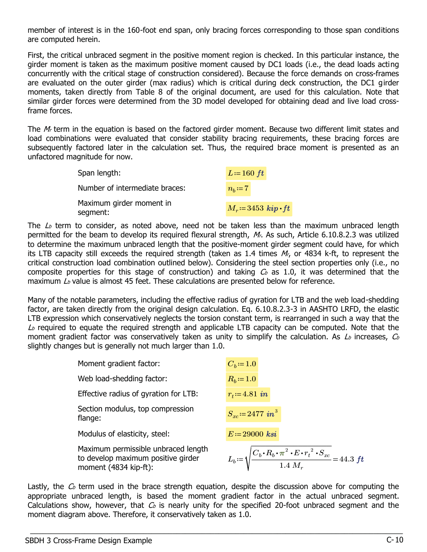member of interest is in the 160-foot end span, only bracing forces corresponding to those span conditions are computed herein.

First, the critical unbraced segment in the positive moment region is checked. In this particular instance, the girder moment is taken as the maximum positive moment caused by DC1 loads (i.e., the dead loads acting concurrently with the critical stage of construction considered). Because the force demands on cross-frames are evaluated on the outer girder (max radius) which is critical during deck construction, the DC1 girder moments, taken directly from Table 8 of the original document, are used for this calculation. Note that similar girder forces were determined from the 3D model developed for obtaining dead and live load crossframe forces.

The  $M<sub>r</sub>$  term in the equation is based on the factored girder moment. Because two different limit states and load combinations were evaluated that consider stability bracing requirements, these bracing forces are subsequently factored later in the calculation set. Thus, the required brace moment is presented as an unfactored magnitude for now.

| Span length:                         | $L=160$ ft            |
|--------------------------------------|-----------------------|
| Number of intermediate braces:       | $n_b = 7$             |
| Maximum girder moment in<br>segment: | $M_r = 3453$ kip of t |

The  $\mathcal{L}_b$  term to consider, as noted above, need not be taken less than the maximum unbraced length permitted for the beam to develop its required flexural strength,  $M<sub>i</sub>$ . As such, Article 6.10.8.2.3 was utilized to determine the maximum unbraced length that the positive-moment girder segment could have, for which its LTB capacity still exceeds the required strength (taken as 1.4 times  $M<sub>r</sub>$ , or 4834 k-ft, to represent the critical construction load combination outlined below). Considering the steel section properties only (i.e., no composite properties for this stage of construction) and taking  $C_b$  as 1.0, it was determined that the maximum  $\Delta b$  value is almost 45 feet. These calculations are presented below for reference.

Many of the notable parameters, including the effective radius of gyration for LTB and the web load-shedding factor, are taken directly from the original design calculation. Eq. 6.10.8.2.3-3 in AASHTO LRFD, the elastic LTB expression which conservatively neglects the torsion constant term, is rearranged in such a way that the  $\mathcal{L}_{b}$  required to equate the required strength and applicable LTB capacity can be computed. Note that the moment gradient factor was conservatively taken as unity to simplify the calculation. As  $L_b$  increases,  $C_b$ slightly changes but is generally not much larger than 1.0.

| Moment gradient factor:                                                                            | $C_b = 1.0$                                                                                             |
|----------------------------------------------------------------------------------------------------|---------------------------------------------------------------------------------------------------------|
| Web load-shedding factor:                                                                          | $R_b = 1.0$                                                                                             |
| Effective radius of gyration for LTB:                                                              | $r_t = 4.81$ in                                                                                         |
| Section modulus, top compression<br>flange:                                                        | $S_{xc} = 2477$ in <sup>3</sup>                                                                         |
| Modulus of elasticity, steel:                                                                      | $E = 29000$ ksi                                                                                         |
| Maximum permissible unbraced length<br>to develop maximum positive girder<br>moment (4834 kip-ft): | $L_b = \sqrt{\frac{C_b \cdot R_b \cdot \pi^2 \cdot E \cdot r_t^2 \cdot S_{xc}}{1.4 \ M_r}} = 44.3 \ ft$ |

Lastly, the  $C_b$  term used in the brace strength equation, despite the discussion above for computing the appropriate unbraced length, is based the moment gradient factor in the actual unbraced segment. Calculations show, however, that  $C_b$  is nearly unity for the specified 20-foot unbraced segment and the moment diagram above. Therefore, it conservatively taken as 1.0.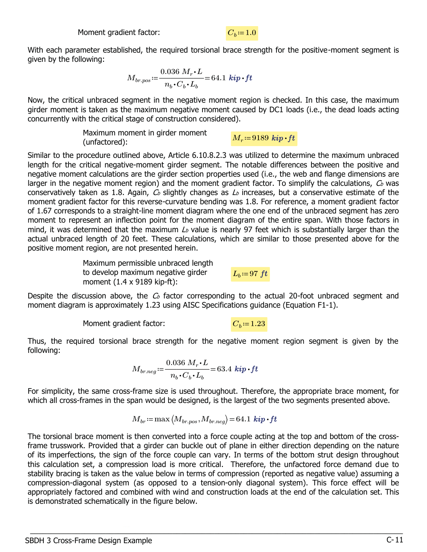With each parameter established, the required torsional brace strength for the positive-moment segment is given by the following:

$$
M_{br. pos}\!:=\!\frac{0.036~M_r\!\cdot\!L}{n_b\!\cdot\!C_b\!\cdot\!L_b}\!=\!64.1~\textit{\textbf{kip}\cdot\!ft}
$$

Now, the critical unbraced segment in the negative moment region is checked. In this case, the maximum girder moment is taken as the maximum negative moment caused by DC1 loads (i.e., the dead loads acting concurrently with the critical stage of construction considered).

> Maximum moment in girder moment Fraximum moment in girder moment<br> $M_r = 9189 kip \cdot ft$ <br>(unfactored):

Similar to the procedure outlined above, Article 6.10.8.2.3 was utilized to determine the maximum unbraced length for the critical negative-moment girder segment. The notable differences between the positive and negative moment calculations are the girder section properties used (i.e., the web and flange dimensions are larger in the negative moment region) and the moment gradient factor. To simplify the calculations,  $C_b$  was conservatively taken as 1.8. Again,  $C_b$  slightly changes as  $L_b$  increases, but a conservative estimate of the moment gradient factor for this reverse-curvature bending was 1.8. For reference, a moment gradient factor of 1.67 corresponds to a straight-line moment diagram where the one end of the unbraced segment has zero moment to represent an inflection point for the moment diagram of the entire span. With those factors in mind, it was determined that the maximum  $L_b$  value is nearly 97 feet which is substantially larger than the actual unbraced length of 20 feet. These calculations, which are similar to those presented above for the positive moment region, are not presented herein.

> Maximum permissible unbraced length to develop maximum negative girder moment (1.4 x 9189 kip-ft):

 $L_b$ ≔97  $ft$ 

Despite the discussion above, the  $C_b$  factor corresponding to the actual 20-foot unbraced segment and moment diagram is approximately 1.23 using AISC Specifications guidance (Equation F1-1).

 $C_b \coloneqq 1.23$ 

Thus, the required torsional brace strength for the negative moment region segment is given by the following:

$$
M_{br. neg} \! := \! \frac{0.036~M_r \!\cdot\! L}{n_b \!\cdot\! C_b \!\cdot\! L_b} \! = \! 63.4~\textit{kip}\!\cdot\! \textit{ft}
$$

For simplicity, the same cross-frame size is used throughout. Therefore, the appropriate brace moment, for which all cross-frames in the span would be designed, is the largest of the two segments presented above.

$$
M_{br}\!\coloneqq\!\max\big(M_{br. pos},\!_{br. neg}\big)\!=\!64.1\,\textit{\textbf{kip-ft}}
$$

The torsional brace moment is then converted into a force couple acting at the top and bottom of the crossframe trusswork. Provided that a girder can buckle out of plane in either direction depending on the nature of its imperfections, the sign of the force couple can vary. In terms of the bottom strut design throughout this calculation set, a compression load is more critical. Therefore, the unfactored force demand due to stability bracing is taken as the value below in terms of compression (reported as negative value) assuming a compression-diagonal system (as opposed to a tension-only diagonal system). This force effect will be appropriately factored and combined with wind and construction loads at the end of the calculation set. This is demonstrated schematically in the figure below.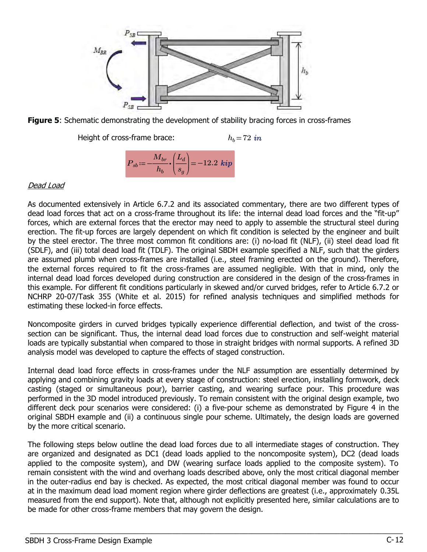



Height of cross-frame brace:  $h_b=72 \text{ in}$  $P_{sb}\!:=\!-\!\frac{M_{br}}{L}\!\boldsymbol{\cdot}\!\left(\! \frac{L_d}{L}\!\right)\!=\!$  $\sqrt{2}$ ⎜  $\frac{L_d}{\sqrt{2}}$ ⎞ ⎟  $-12.2\;{\bm k i} {\bm p}$ 

⎝

 $s_g^{\phantom{\dagger}}$ 

⎠

 $h_b\$ 

#### Dead Load

As documented extensively in Article 6.7.2 and its associated commentary, there are two different types of dead load forces that act on a cross-frame throughout its life: the internal dead load forces and the "fit-up" forces, which are external forces that the erector may need to apply to assemble the structural steel during erection. The fit-up forces are largely dependent on which fit condition is selected by the engineer and built by the steel erector. The three most common fit conditions are: (i) no-load fit (NLF), (ii) steel dead load fit (SDLF), and (iii) total dead load fit (TDLF). The original SBDH example specified a NLF, such that the girders are assumed plumb when cross-frames are installed (i.e., steel framing erected on the ground). Therefore, the external forces required to fit the cross-frames are assumed negligible. With that in mind, only the internal dead load forces developed during construction are considered in the design of the cross-frames in this example. For different fit conditions particularly in skewed and/or curved bridges, refer to Article 6.7.2 or NCHRP 20-07/Task 355 (White et al. 2015) for refined analysis techniques and simplified methods for estimating these locked-in force effects.

Noncomposite girders in curved bridges typically experience differential deflection, and twist of the crosssection can be significant. Thus, the internal dead load forces due to construction and self-weight material loads are typically substantial when compared to those in straight bridges with normal supports. A refined 3D analysis model was developed to capture the effects of staged construction.

Internal dead load force effects in cross-frames under the NLF assumption are essentially determined by applying and combining gravity loads at every stage of construction: steel erection, installing formwork, deck casting (staged or simultaneous pour), barrier casting, and wearing surface pour. This procedure was performed in the 3D model introduced previously. To remain consistent with the original design example, two different deck pour scenarios were considered: (i) a five-pour scheme as demonstrated by Figure 4 in the original SBDH example and (ii) a continuous single pour scheme. Ultimately, the design loads are governed by the more critical scenario.

The following steps below outline the dead load forces due to all intermediate stages of construction. They are organized and designated as DC1 (dead loads applied to the noncomposite system), DC2 (dead loads applied to the composite system), and DW (wearing surface loads applied to the composite system). To remain consistent with the wind and overhang loads described above, only the most critical diagonal member in the outer-radius end bay is checked. As expected, the most critical diagonal member was found to occur at in the maximum dead load moment region where girder deflections are greatest (i.e., approximately 0.35L measured from the end support). Note that, although not explicitly presented here, similar calculations are to be made for other cross-frame members that may govern the design.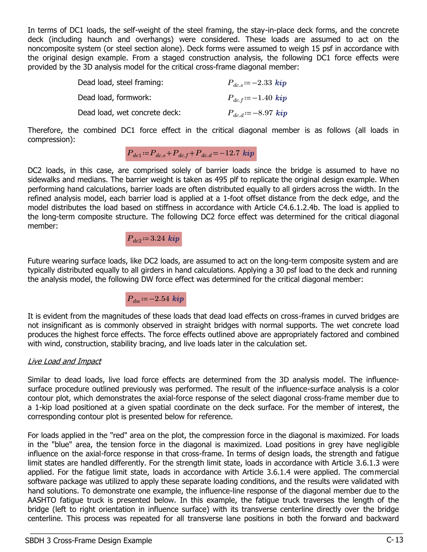In terms of DC1 loads, the self-weight of the steel framing, the stay-in-place deck forms, and the concrete deck (including haunch and overhangs) were considered. These loads are assumed to act on the noncomposite system (or steel section alone). Deck forms were assumed to weigh 15 psf in accordance with the original design example. From a staged construction analysis, the following DC1 force effects were provided by the 3D analysis model for the critical cross-frame diagonal member:

| Dead load, steel framing:     | $P_{dc,s} = -2.33 \; kip$  |
|-------------------------------|----------------------------|
| Dead load, formwork:          | $P_{dc,f} := -1.40 \; kip$ |
| Dead load, wet concrete deck: | $P_{dc,d} = -8.97$ kip     |

Therefore, the combined DC1 force effect in the critical diagonal member is as follows (all loads in compression):

# $P_{dc1} = P_{dc.s} + P_{dc.f} + P_{dc.d} = -12.7$  kip

DC2 loads, in this case, are comprised solely of barrier loads since the bridge is assumed to have no sidewalks and medians. The barrier weight is taken as 495 plf to replicate the original design example. When performing hand calculations, barrier loads are often distributed equally to all girders across the width. In the refined analysis model, each barrier load is applied at a 1-foot offset distance from the deck edge, and the model distributes the load based on stiffness in accordance with Article C4.6.1.2.4b. The load is applied to the long-term composite structure. The following DC2 force effect was determined for the critical diagonal member:

 $P_{dc2}$ ≔3.24 kip

Future wearing surface loads, like DC2 loads, are assumed to act on the long-term composite system and are typically distributed equally to all girders in hand calculations. Applying a 30 psf load to the deck and running the analysis model, the following DW force effect was determined for the critical diagonal member:

 $P_{dw}$  = -2.54 kip

It is evident from the magnitudes of these loads that dead load effects on cross-frames in curved bridges are not insignificant as is commonly observed in straight bridges with normal supports. The wet concrete load produces the highest force effects. The force effects outlined above are appropriately factored and combined with wind, construction, stability bracing, and live loads later in the calculation set.

### Live Load and Impact

Similar to dead loads, live load force effects are determined from the 3D analysis model. The influencesurface procedure outlined previously was performed. The result of the influence-surface analysis is a color contour plot, which demonstrates the axial-force response of the select diagonal cross-frame member due to a 1-kip load positioned at a given spatial coordinate on the deck surface. For the member of interest, the corresponding contour plot is presented below for reference.

For loads applied in the "red" area on the plot, the compression force in the diagonal is maximized. For loads in the "blue" area, the tension force in the diagonal is maximized. Load positions in grey have negligible influence on the axial-force response in that cross-frame. In terms of design loads, the strength and fatigue limit states are handled differently. For the strength limit state, loads in accordance with Article 3.6.1.3 were applied. For the fatigue limit state, loads in accordance with Article 3.6.1.4 were applied. The commercial software package was utilized to apply these separate loading conditions, and the results were validated with hand solutions. To demonstrate one example, the influence-line response of the diagonal member due to the AASHTO fatigue truck is presented below. In this example, the fatigue truck traverses the length of the bridge (left to right orientation in influence surface) with its transverse centerline directly over the bridge centerline. This process was repeated for all transverse lane positions in both the forward and backward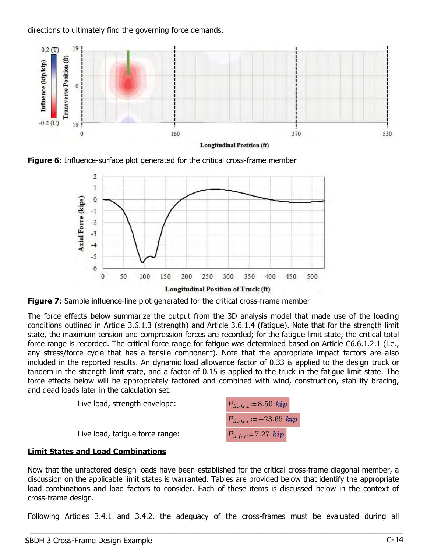

directions to ultimately find the governing force demands.

**Figure 6:** Influence-surface plot generated for the critical cross-frame member



**Figure 7:** Sample influence-line plot generated for the critical cross-frame member

The force effects below summarize the output from the 3D analysis model that made use of the loading conditions outlined in Article 3.6.1.3 (strength) and Article 3.6.1.4 (fatigue). Note that for the strength limit state, the maximum tension and compression forces are recorded; for the fatigue limit state, the critical total force range is recorded. The critical force range for fatigue was determined based on Article C6.6.1.2.1 (i.e., any stress/force cycle that has a tensile component). Note that the appropriate impact factors are also included in the reported results. An dynamic load allowance factor of 0.33 is applied to the design truck or tandem in the strength limit state, and a factor of 0.15 is applied to the truck in the fatigue limit state. The force effects below will be appropriately factored and combined with wind, construction, stability bracing, and dead loads later in the calculation set.



# Limit States and Load Combinations

Now that the unfactored design loads have been established for the critical cross-frame diagonal member, a discussion on the applicable limit states is warranted. Tables are provided below that identify the appropriate load combinations and load factors to consider. Each of these items is discussed below in the context of cross-frame design.

Following Articles 3.4.1 and 3.4.2, the adequacy of the cross-frames must be evaluated during all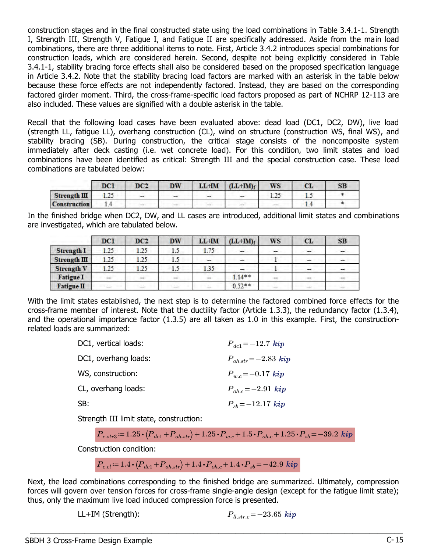construction stages and in the final constructed state using the load combinations in Table 3.4.1-1. Strength I, Strength III, Strength V, Fatigue I, and Fatigue II are specifically addressed. Aside from the main load combinations, there are three additional items to note. First, Article 3.4.2 introduces special combinations for construction loads, which are considered herein. Second, despite not being explicitly considered in Table 3.4.1-1, stability bracing force effects shall also be considered based on the proposed specification language in Article 3.4.2. Note that the stability bracing load factors are marked with an asterisk in the table below because these force effects are not independently factored. Instead, they are based on the corresponding factored girder moment. Third, the cross-frame-specific load factors proposed as part of NCHRP 12-113 are also included. These values are signified with a double asterisk in the table.

Recall that the following load cases have been evaluated above: dead load (DC1, DC2, DW), live load (strength LL, fatigue LL), overhang construction (CL), wind on structure (construction WS, final WS), and stability bracing (SB). During construction, the critical stage consists of the noncomposite system immediately after deck casting (i.e. wet concrete load). For this condition, two limit states and load combinations have been identified as critical: Strength III and the special construction case. These load combinations are tabulated below:

|                     | DC1  | DC2 | DW  | $LL+IM$ | $(LL+IM)$ f              | WS | CL | SB |
|---------------------|------|-----|-----|---------|--------------------------|----|----|----|
| Strength III        | 1.4. | --  | --  | $-$     | $\overline{\phantom{a}}$ |    |    |    |
| <b>Construction</b> |      |     | $-$ | $-$     | $\overline{\phantom{m}}$ |    |    |    |

In the finished bridge when DC2, DW, and LL cases are introduced, additional limit states and combinations are investigated, which are tabulated below.

|                   | DC1  | DC2  | <b>DW</b> | LL+IM | $(LL+IM)$ f | WS | CL                       | SB                       |
|-------------------|------|------|-----------|-------|-------------|----|--------------------------|--------------------------|
| <b>Strength I</b> | 1.25 | 1.25 | 1.5       | 1.75  | -           | -  | $\overline{\phantom{a}}$ | $\overline{\phantom{a}}$ |
| Strength III      | 1.25 | 1.25 | 15        |       |             |    |                          |                          |
| <b>Strength V</b> | 1.25 | 1.25 | 1.5       | 1.35  |             |    |                          |                          |
| <b>Fatigue I</b>  | -    | $-$  | -         | -     | $1.14**$    | -  | -                        |                          |
| <b>Fatigue II</b> |      | ÷    | ÷         | -     | $0.52**$    |    |                          |                          |

With the limit states established, the next step is to determine the factored combined force effects for the cross-frame member of interest. Note that the ductility factor (Article 1.3.3), the redundancy factor (1.3.4), and the operational importance factor (1.3.5) are all taken as 1.0 in this example. First, the constructionrelated loads are summarized:

| DC1, vertical loads: | $P_{dc1} = -12.7$ kip         |
|----------------------|-------------------------------|
| DC1, overhang loads: | $P_{oh,str} = -2.83$ kip      |
| WS, construction:    | $P_{wc} = -0.17$ kip          |
| CL, overhang loads:  | $P_{\text{oh.c}} = -2.91$ kip |
| SB:                  | $P_{sh} = -12.17$ kip         |
|                      |                               |

Strength III limit state, construction:

$$
P_{c. str3} \coloneqq 1.25 \cdot (P_{dc1} + P_{oh. str}) + 1.25 \cdot P_{w.c} + 1.5 \cdot P_{oh.c} + 1.25 \cdot P_{sb} = -39.2 \; kip
$$

Construction condition:

$$
P_{c,cl} = 1.4 \cdot (P_{dc1} + P_{oh,str}) + 1.4 \cdot P_{oh.c} + 1.4 \cdot P_{sb} = -42.9 \text{ } kip
$$

Next, the load combinations corresponding to the finished bridge are summarized. Ultimately, compression forces will govern over tension forces for cross-frame single-angle design (except for the fatigue limit state); thus, only the maximum live load induced compression force is presented.

 $\_$  , and the set of the set of the set of the set of the set of the set of the set of the set of the set of the set of the set of the set of the set of the set of the set of the set of the set of the set of the set of th

LL+IM (Strength):  $P_{llstr,c} = -23.65$  kip

kip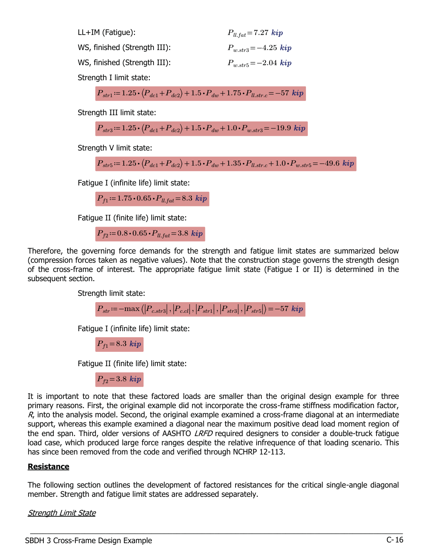| $LL+IM$ (Fatigue):           | $P_{ll, fat} = 7.27$ kip |
|------------------------------|--------------------------|
| WS, finished (Strength III): | $P_{w,str3} = -4.25$ kip |
| WS, finished (Strength III): | $P_{w.str5} = -2.04$ kip |
|                              |                          |

Strength I limit state:

$$
P_{str1} \coloneqq 1.25 \cdot (P_{dc1} + P_{dc2}) + 1.5 \cdot P_{dw} + 1.75 \cdot P_{ll.str.c} = -57 \; kip
$$

Strength III limit state:

$$
P_{str3} = 1.25 \cdot (P_{dc1} + P_{dc2}) + 1.5 \cdot P_{dw} + 1.0 \cdot P_{w.str3} = -19.9 \; kip
$$

Strength V limit state:

$$
P_{str5} = 1.25 \cdot (P_{dc1} + P_{dc2}) + 1.5 \cdot P_{dw} + 1.35 \cdot P_{ll.str.c} + 1.0 \cdot P_{w.str5} = -49.6 \text{ } k\text{ip}
$$

Fatigue I (infinite life) limit state:

 $P_{f1}$ =1.75  $\cdot$  0.65  $\cdot$   $P_{ll.fat}$  = 8.3 kip

Fatigue II (finite life) limit state:

 $P_{f2}$  = 0.8  $\cdot$  0.65  $\cdot$   $P_{ll.fat}$  = 3.8 kip

Therefore, the governing force demands for the strength and fatigue limit states are summarized below (compression forces taken as negative values). Note that the construction stage governs the strength design of the cross-frame of interest. The appropriate fatigue limit state (Fatigue I or II) is determined in the subsequent section.

Strength limit state:

$$
P_{str} \coloneqq -\max\left( \left| P_{c.str3} \right|, \left| P_{ccl} \right|, \left| P_{str1} \right|, \left| P_{str3} \right|, \left| P_{str5} \right| \right) = -57 \text{ kip}
$$

Fatigue I (infinite life) limit state:

 $P_{f1}=8.3$  kip

Fatigue II (finite life) limit state:

 $P_{f2}=3.8$  kip

It is important to note that these factored loads are smaller than the original design example for three primary reasons. First, the original example did not incorporate the cross-frame stiffness modification factor,  $R$ , into the analysis model. Second, the original example examined a cross-frame diagonal at an intermediate support, whereas this example examined a diagonal near the maximum positive dead load moment region of the end span. Third, older versions of AASHTO LRFD required designers to consider a double-truck fatigue load case, which produced large force ranges despite the relative infrequence of that loading scenario. This has since been removed from the code and verified through NCHRP 12-113.

#### **Resistance**

The following section outlines the development of factored resistances for the critical single-angle diagonal member. Strength and fatigue limit states are addressed separately.

 $\_$  , and the set of the set of the set of the set of the set of the set of the set of the set of the set of the set of the set of the set of the set of the set of the set of the set of the set of the set of the set of th

Strength Limit State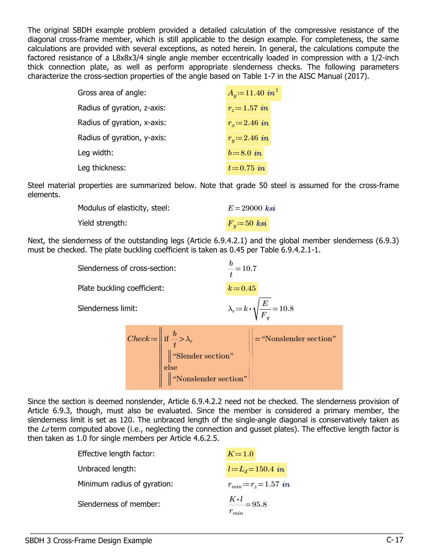The original SBDH example problem provided a detailed calculation of the compressive resistance of the diagonal cross-frame member, which is still applicable to the design example. For completeness, the same calculations are provided with several exceptions, as noted herein. In general, the calculations compute the factored resistance of a L8x8x3/4 single angle member eccentrically loaded in compression with a 1/2-inch thick connection plate, as well as perform appropriate slenderness checks. The following parameters characterize the cross-section properties of the angle based on Table 1-7 in the AISC Manual (2017).

| Gross area of angle:        | $A_q = 11.40$ in <sup>2</sup> |
|-----------------------------|-------------------------------|
| Radius of gyration, z-axis: | $r_z = 1.57$ in               |
| Radius of gyration, x-axis: | $r_r = 2.46$ in               |
| Radius of gyration, y-axis: | $r_{u} = 2.46$ in             |
| Leg width:                  | $b = 8.0$ in                  |
| Leg thickness:              | $t = 0.75$ in                 |

Steel material properties are summarized below. Note that grade 50 steel is assumed for the cross-frame elements.

| Modulus of elasticity, steel: | $E = 29000$ ksi     |
|-------------------------------|---------------------|
| Yield strength:               | $F_{\eta} = 50$ ksi |

Next, the slenderness of the outstanding legs (Article 6.9.4.2.1) and the global member slenderness (6.9.3) must be checked. The plate buckling coefficient is taken as 0.45 per Table 6.9.4.2.1-1.

| Slenderness of cross-section: |  |                                                                                                                                                                            | $\frac{b}{t}$ = 10.7 |                                                            |
|-------------------------------|--|----------------------------------------------------------------------------------------------------------------------------------------------------------------------------|----------------------|------------------------------------------------------------|
| Plate buckling coefficient:   |  |                                                                                                                                                                            | $k = 0.45$           |                                                            |
| Slenderness limit:            |  |                                                                                                                                                                            |                      | $\lambda_r = k \cdot \sqrt{\frac{E}{F_{\gamma r}}} = 10.8$ |
|                               |  | Check := $\left\  \text{ if } \frac{b}{t} > \lambda_r \right\ $ "Slender section"<br>$\begin{array}{c} \text{else} \ \text{#} \ \text{``Nonslender section''} \end{array}$ |                      | $\left \frac{1}{1-\epsilon}\right $ = "Nonslender section" |

Since the section is deemed nonslender, Article 6.9.4.2.2 need not be checked. The slenderness provision of Article 6.9.3, though, must also be evaluated. Since the member is considered a primary member, the slenderness limit is set as 120. The unbraced length of the single-angle diagonal is conservatively taken as the  $Ld$  term computed above (i.e., neglecting the connection and gusset plates). The effective length factor is then taken as 1.0 for single members per Article 4.6.2.5.

| Effective length factor:    | $K=1.0$                                  |
|-----------------------------|------------------------------------------|
| Unbraced length:            | $l = L_d = 150.4$ in                     |
| Minimum radius of gyration: | $r_{min} = r_z = 1.57$ in                |
| Slenderness of member:      | $\frac{K\cdot l}{l} = 95.8$<br>$r_{min}$ |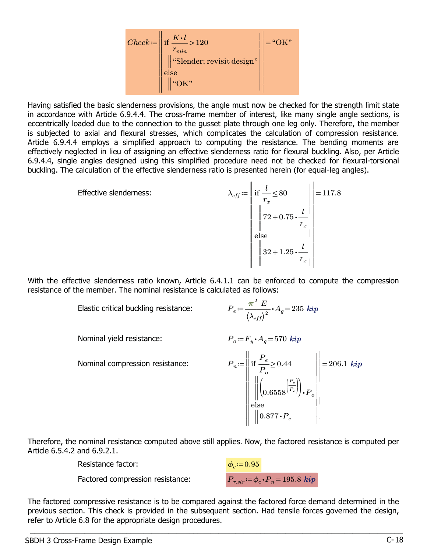

Having satisfied the basic slenderness provisions, the angle must now be checked for the strength limit state in accordance with Article 6.9.4.4. The cross-frame member of interest, like many single angle sections, is eccentrically loaded due to the connection to the gusset plate through one leg only. Therefore, the member is subjected to axial and flexural stresses, which complicates the calculation of compression resistance. Article 6.9.4.4 employs a simplified approach to computing the resistance. The bending moments are effectively neglected in lieu of assigning an effective slenderness ratio for flexural buckling. Also, per Article 6.9.4.4, single angles designed using this simplified procedure need not be checked for flexural-torsional buckling. The calculation of the effective slenderness ratio is presented herein (for equal-leg angles).

$$
\lambda_{eff} = \left\| \begin{array}{l} \text{if } \frac{l}{r_x} \le 80 \\ \left\| \frac{72 + 0.75 \cdot \frac{l}{r_x}}{\left\| 32 + 1.25 \cdot \frac{l}{r_x}} \right\| \right. = 117.8 \\ \left\| 32 + 1.25 \cdot \frac{l}{r_x} \right\| \end{array} \right\} = 117.8
$$

With the effective slenderness ratio known, Article 6.4.1.1 can be enforced to compute the compression resistance of the member. The nominal resistance is calculated as follows:

Elastic critical buckling resistance:

$$
{P_e\!:=\!\frac{\boldsymbol{\pi}^2\;E}{\left(\lambda_{eff}\right)^2}\!\boldsymbol{\cdot} A_g\!=\!235\;kip}
$$

Nominal yield resistance:

$$
P_o = F_y \cdot A_g = 570 \; kip
$$

Nominal compression resistance:  $P_n = ||$  if  $\frac{e}{R} \ge 0.44$  |  $=$ ‖ ‖ ‖ ‖ ‖ ‖ ‖ ‖ ‖ ‖ | | | | | | |  $\overline{\phantom{a}}$ | | | | | | | | | | if else  $\frac{P_e}{P}$ ≥  $P_o$ 0.44 ‖ ‖  $\big\| \langle 0.6558^{(P_e)} \rangle \cdot$  $\sqrt{2}$  $\big\vert_{0.6558}$  $\left(\begin{matrix} P_o \ P_e \end{matrix}\right)_ P_e$ ⎞ ⎟ ⎟⎠ ⎞  $\big) {\boldsymbol .} P_o$  $\Big\| 0.877\!\cdot \!P_e$  $206.1\;{\bm k}{\bm i}{\bm p}$ 

Therefore, the nominal resistance computed above still applies. Now, the factored resistance is computed per Article 6.5.4.2 and 6.9.2.1.

| Resistance factor:               | $\phi_c = 0.95$      |
|----------------------------------|----------------------|
| Factored compression resistance: | $P_{r.str} = \phi_c$ |

 $\vec{p} = \phi_c \cdot P_n = 195.8 \; kip$ 

The factored compressive resistance is to be compared against the factored force demand determined in the previous section. This check is provided in the subsequent section. Had tensile forces governed the design, refer to Article 6.8 for the appropriate design procedures.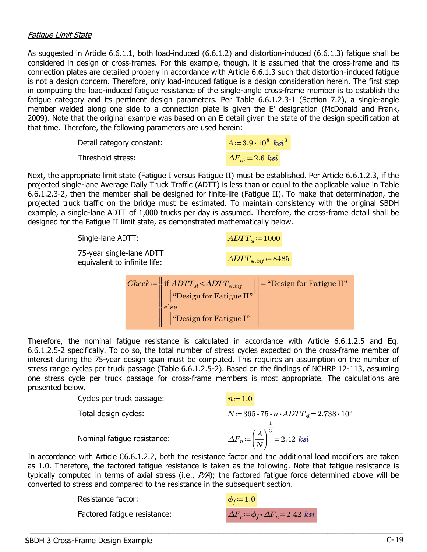#### Fatigue Limit State

As suggested in Article 6.6.1.1, both load-induced (6.6.1.2) and distortion-induced (6.6.1.3) fatigue shall be considered in design of cross-frames. For this example, though, it is assumed that the cross-frame and its connection plates are detailed properly in accordance with Article 6.6.1.3 such that distortion-induced fatigue is not a design concern. Therefore, only load-induced fatigue is a design consideration herein. The first step in computing the load-induced fatigue resistance of the single-angle cross-frame member is to establish the fatigue category and its pertinent design parameters. Per Table 6.6.1.2.3-1 (Section 7.2), a single-angle member welded along one side to a connection plate is given the E' designation (McDonald and Frank, 2009). Note that the original example was based on an E detail given the state of the design specification at that time. Therefore, the following parameters are used herein:

| Detail category constant: | $A = 3.9 \cdot 10^8$ ksi <sup>3</sup> |
|---------------------------|---------------------------------------|
| Threshold stress:         | $\Delta F_{th} = 2.6$ ksi             |

Next, the appropriate limit state (Fatigue I versus Fatigue II) must be established. Per Article 6.6.1.2.3, if the projected single-lane Average Daily Truck Traffic (ADTT) is less than or equal to the applicable value in Table 6.6.1.2.3-2, then the member shall be designed for finite-life (Fatigue II). To make that determination, the projected truck traffic on the bridge must be estimated. To maintain consistency with the original SBDH example, a single-lane ADTT of 1,000 trucks per day is assumed. Therefore, the cross-frame detail shall be designed for the Fatigue II limit state, as demonstrated mathematically below.

| Single-lane ADTT:                                        |                                                                                                                                                                                                                                                                                                                                                                                                                                                                                                                | $ADTT_{sl} \coloneqq 1000$ |  |  |
|----------------------------------------------------------|----------------------------------------------------------------------------------------------------------------------------------------------------------------------------------------------------------------------------------------------------------------------------------------------------------------------------------------------------------------------------------------------------------------------------------------------------------------------------------------------------------------|----------------------------|--|--|
| 75-year single-lane ADTT<br>equivalent to infinite life: |                                                                                                                                                                                                                                                                                                                                                                                                                                                                                                                | $ADTT_{sl.inf} = 8485$     |  |  |
|                                                          | $\setlength{\abovedisplayskip}{12pt} \setlength{\belowdisplayskip}{12pt} \begin{minipage}{1pt} \textit{Check} \coloneqq \begin{minipage}{1pt} \begin{minipage}{0.5pt} \begin{minipage}{0.5pt} \begin{minipage}{0.5pt} \begin{minipage}{0.5pt} \begin{minipage}{0.5pt} \begin{minipage}{0.5pt} \begin{minipage}{0.5pt} \begin{minipage}{0.5pt} \begin{minipage}{0.5pt} \begin{minipage}{0.5pt} \begin{minipage}{0.5pt} \begin{minipage}{0.5pt} \begin{minipage}{0.5pt} \begin{minipage}{$<br>$\frac{1}{1}$ else |                            |  |  |

‖ ‖ "Design for Fatigue I"

Therefore, the nominal fatigue resistance is calculated in accordance with Article 6.6.1.2.5 and Eq. 6.6.1.2.5-2 specifically. To do so, the total number of stress cycles expected on the cross-frame member of interest during the 75-year design span must be computed. This requires an assumption on the number of stress range cycles per truck passage (Table 6.6.1.2.5-2). Based on the findings of NCHRP 12-113, assuming one stress cycle per truck passage for cross-frame members is most appropriate. The calculations are presented below.

| |

Cycles per truck passage:  $n:=1.0$ 

‖ ‖

Total design cycles:  $N=365 \cdot 75 \cdot n \cdot ADTT_{sl}=2.738 \cdot 10^7$ 

Nominal fatigue resistance:  $\Delta F_n \text{:=} \left(\frac{A}{N}\right)^3 =$ 

In accordance with Article C6.6.1.2.2, both the resistance factor and the additional load modifiers are taken as 1.0. Therefore, the factored fatigue resistance is taken as the following. Note that fatigue resistance is typically computed in terms of axial stress (i.e.,  $P/A$ ); the factored fatigue force determined above will be converted to stress and compared to the resistance in the subsequent section.

 $\_$  , and the set of the set of the set of the set of the set of the set of the set of the set of the set of the set of the set of the set of the set of the set of the set of the set of the set of the set of the set of th

Resistance factor:

Factored fatique resistance:

$$
\phi_f = 1.0
$$
  
\n
$$
\Delta F_r := \phi_f \cdot \Delta F_n = 2.42 \text{ ks}i
$$

 $\frac{A}{\cdot}$ N ⎞  $\int$   $\frac{1}{1}$ 3

 $2.42\;{\boldsymbol{k}}$ si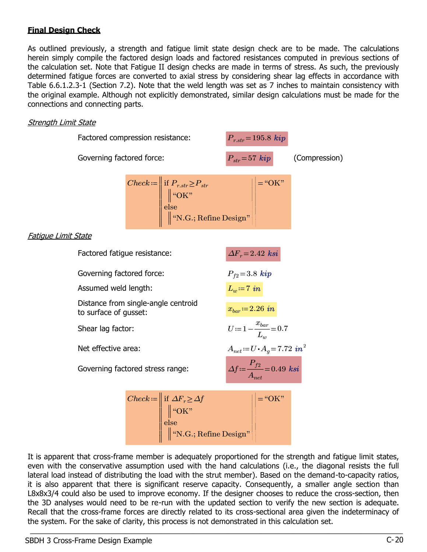# Final Design Check

As outlined previously, a strength and fatigue limit state design check are to be made. The calculations herein simply compile the factored design loads and factored resistances computed in previous sections of the calculation set. Note that Fatigue II design checks are made in terms of stress. As such, the previously determined fatigue forces are converted to axial stress by considering shear lag effects in accordance with Table 6.6.1.2.3-1 (Section 7.2). Note that the weld length was set as 7 inches to maintain consistency with the original example. Although not explicitly demonstrated, similar design calculations must be made for the connections and connecting parts.

#### **Strength Limit State**

|                            | Factored compression resistance:                             |  |                                                                                                                                                                                | $P_{r,str} = 195.8 \; kip$ |                                                                       |  |
|----------------------------|--------------------------------------------------------------|--|--------------------------------------------------------------------------------------------------------------------------------------------------------------------------------|----------------------------|-----------------------------------------------------------------------|--|
|                            | Governing factored force:                                    |  |                                                                                                                                                                                | $P_{str} = 57$ kip         | (Compression)                                                         |  |
|                            |                                                              |  | Check := $\left\  \begin{array}{l} \text{if } P_{r,str} \ge P_{str} \\ \  \text{``OK"} \\ \text{else} \\ \  \text{``N.G.; Refine Design"} \end{array} \right\  = \text{``OK"}$ |                            |                                                                       |  |
| <u>Fatique Limit State</u> |                                                              |  |                                                                                                                                                                                |                            |                                                                       |  |
|                            | Factored fatigue resistance:                                 |  |                                                                                                                                                                                | $\Delta F_r = 2.42$ ksi    |                                                                       |  |
|                            | Governing factored force:                                    |  |                                                                                                                                                                                | $P_{f2} = 3.8 \; kip$      |                                                                       |  |
|                            | Assumed weld length:                                         |  |                                                                                                                                                                                | $L_w = 7$ in               |                                                                       |  |
|                            | Distance from single-angle centroid<br>to surface of gusset: |  |                                                                                                                                                                                | $x_{bar} = 2.26$ in        |                                                                       |  |
|                            | Shear lag factor:                                            |  |                                                                                                                                                                                |                            | $U = 1 - \frac{x_{bar}}{L_w} = 0.7$                                   |  |
|                            | Net effective area:                                          |  |                                                                                                                                                                                |                            | $A_{net}\!\coloneqq\! U\!\boldsymbol{\cdot} A_g\!=\!7.72\ in^2$       |  |
|                            | Governing factored stress range:                             |  |                                                                                                                                                                                |                            | $\Delta f \coloneqq \frac{P_{f2}}{A_{\text{net}}} = 0.49 \text{ ksi}$ |  |
|                            |                                                              |  | Check := if $\Delta F_r \geq \Delta f$<br><br>if $\Delta F_r \geq \Delta f$<br><br>if $\omega$ K"<br>ise<br>ise<br>if w.G.; Refine Design"                                     |                            |                                                                       |  |

It is apparent that cross-frame member is adequately proportioned for the strength and fatigue limit states, even with the conservative assumption used with the hand calculations (i.e., the diagonal resists the full lateral load instead of distributing the load with the strut member). Based on the demand-to-capacity ratios, it is also apparent that there is significant reserve capacity. Consequently, a smaller angle section than L8x8x3/4 could also be used to improve economy. If the designer chooses to reduce the cross-section, then the 3D analyses would need to be re-run with the updated section to verify the new section is adequate. Recall that the cross-frame forces are directly related to its cross-sectional area given the indeterminacy of the system. For the sake of clarity, this process is not demonstrated in this calculation set.  $\_$  , and the set of the set of the set of the set of the set of the set of the set of the set of the set of the set of the set of the set of the set of the set of the set of the set of the set of the set of the set of th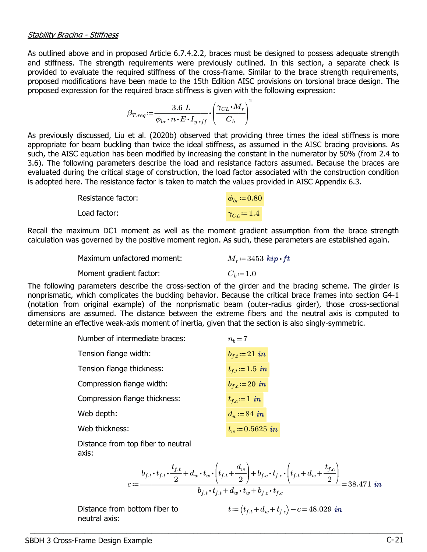As outlined above and in proposed Article 6.7.4.2.2, braces must be designed to possess adequate strength and stiffness. The strength requirements were previously outlined. In this section, a separate check is provided to evaluate the required stiffness of the cross-frame. Similar to the brace strength requirements, proposed modifications have been made to the 15th Edition AISC provisions on torsional brace design. The proposed expression for the required brace stiffness is given with the following expression:

$$
\beta_{Treq} := \frac{3.6 \ L}{\phi_{br} \cdot n \cdot E \cdot I_{y.eff}} \cdot \left(\frac{\gamma_{CL} \cdot M_r}{C_b}\right)^2
$$

As previously discussed, Liu et al. (2020b) observed that providing three times the ideal stiffness is more appropriate for beam buckling than twice the ideal stiffness, as assumed in the AISC bracing provisions. As such, the AISC equation has been modified by increasing the constant in the numerator by 50% (from 2.4 to 3.6). The following parameters describe the load and resistance factors assumed. Because the braces are evaluated during the critical stage of construction, the load factor associated with the construction condition is adopted here. The resistance factor is taken to match the values provided in AISC Appendix 6.3.

| Resistance factor: | $\phi_{hr} = 0.80$  |
|--------------------|---------------------|
| Load factor:       | $\gamma_{CL} = 1.4$ |

Recall the maximum DC1 moment as well as the moment gradient assumption from the brace strength calculation was governed by the positive moment region. As such, these parameters are established again.

| Maximum unfactored moment: | $M_r = 3453$ kip $\cdot$ ft |
|----------------------------|-----------------------------|
| Moment gradient factor:    | $C_b = 1.0$                 |
|                            |                             |

The following parameters describe the cross-section of the girder and the bracing scheme. The girder is nonprismatic, which complicates the buckling behavior. Because the critical brace frames into section G4-1 (notation from original example) of the nonprismatic beam (outer-radius girder), those cross-sectional dimensions are assumed. The distance between the extreme fibers and the neutral axis is computed to determine an effective weak-axis moment of inertia, given that the section is also singly-symmetric.

 $\_$  , and the set of the set of the set of the set of the set of the set of the set of the set of the set of the set of the set of the set of the set of the set of the set of the set of the set of the set of the set of th

| Number of intermediate braces: | $n_h = 7$          |
|--------------------------------|--------------------|
| Tension flange width:          | $b_{f,t} = 21$ in  |
| Tension flange thickness:      | $t_{f.t} = 1.5$ in |
| Compression flange width:      | $b_{f,c} = 20$ in  |
| Compression flange thickness:  | $t_{f,c} = 1$ in   |
| Web depth:                     | $d_w = 84$ in      |
| Web thickness:                 | $t_w = 0.5625$ in  |
|                                |                    |

Distance from top fiber to neutral axis:

$$
c := \frac{b_{f,t} \cdot t_{f,t} \cdot \frac{t_{f,t}}{2} + d_w \cdot t_w \cdot \left(t_{f,t} + \frac{d_w}{2}\right) + b_{f,c} \cdot t_{f,c} \cdot \left(t_{f,t} + d_w + \frac{t_{f,c}}{2}\right)}{b_{f,t} \cdot t_{f,t} + d_w \cdot t_w + b_{f,c} \cdot t_{f,c}} = 38.471 \text{ in}
$$

Distance from bottom fiber to neutral axis:

$$
t = (t_{f.t} + d_w + t_{f.c}) - c = 48.029 \text{ in}
$$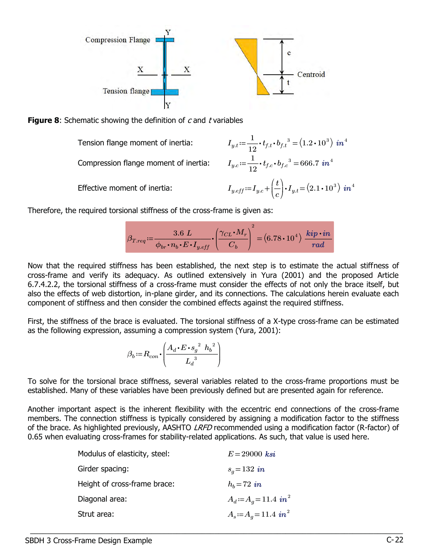



Tension flange moment of inertia:  $I_{y.t} \coloneqq \frac{1}{12} \cdot t_{f.t} \cdot b_{f.t}^{3} = (1.2 \cdot 10^{3}) \text{ in}^{4}$ 

Compression flange moment of inertia:

Effective moment of inertia:  $I_{y.eff} \! := \! I_{y.c} \! + \! \left(\frac{t}{c}\right) \!\cdot \! I_{y.t} \! = \!$ 

 $\frac{1}{1}$  $t_{f.c} \cdot b_{f.c}^3 = 666.7 \, in^4$ ⎞  $\int$   $\cdot$   $I_{y.t}$  =  $(2.1 \cdot 10^{3})$   $in$   $^{4}$ 

 $\overline{\phantom{a}}$ 

in

 $^{\prime}$ 

Therefore, the required torsional stiffness of the cross-frame is given as:

$$
\beta_{Treq} \coloneqq \frac{3.6 \; L}{\phi_{br} \cdot n_b \cdot E \cdot I_{y.eff}} \cdot \left(\frac{\gamma_{CL} \cdot M_r}{C_b}\right)^2 = (6.78 \cdot 10^4) \; \frac{\textit{kip} \cdot \textit{in}}{\textit{rad}}
$$

Now that the required stiffness has been established, the next step is to estimate the actual stiffness of cross-frame and verify its adequacy. As outlined extensively in Yura (2001) and the proposed Article 6.7.4.2.2, the torsional stiffness of a cross-frame must consider the effects of not only the brace itself, but also the effects of web distortion, in-plane girder, and its connections. The calculations herein evaluate each component of stiffness and then consider the combined effects against the required stiffness.

First, the stiffness of the brace is evaluated. The torsional stiffness of a X-type cross-frame can be estimated as the following expression, assuming a compression system (Yura, 2001):

$$
\beta_b := R_{con} \cdot \left( \frac{A_d \cdot E \cdot s_g^{2} h_b^{2}}{L_d^{3}} \right)
$$

To solve for the torsional brace stiffness, several variables related to the cross-frame proportions must be established. Many of these variables have been previously defined but are presented again for reference.

Another important aspect is the inherent flexibility with the eccentric end connections of the cross-frame members. The connection stiffness is typically considered by assigning a modification factor to the stiffness of the brace. As highlighted previously, AASHTO *LRFD* recommended using a modification factor (R-factor) of 0.65 when evaluating cross-frames for stability-related applications. As such, that value is used here.

| Modulus of elasticity, steel: | $E = 29000$ ksi                    |
|-------------------------------|------------------------------------|
| Girder spacing:               | $s_q = 132$ in                     |
| Height of cross-frame brace:  | $h_b = 72$ in                      |
| Diagonal area:                | $A_d = A_q = 11.4 \text{ in}^2$    |
| Strut area:                   | $A_s = A_q = 11.4$ in <sup>2</sup> |
|                               |                                    |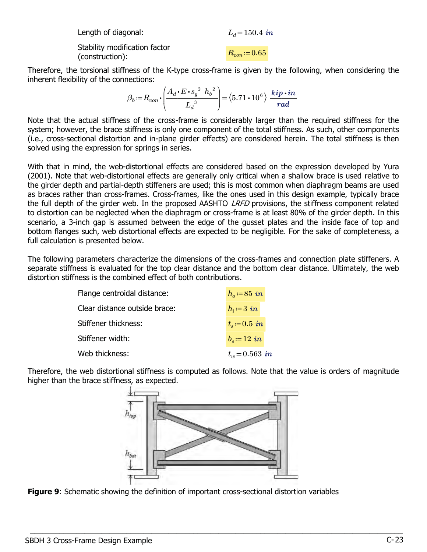| Length of diagonal:                              | $L_d = 150.4$ in |
|--------------------------------------------------|------------------|
| Stability modification factor<br>(construction): | $R_{con} = 0.65$ |

Therefore, the torsional stiffness of the K-type cross-frame is given by the following, when considering the inherent flexibility of the connections:

$$
\beta_b \coloneqq R_{con} \cdot \left( \frac{A_d \cdot E \cdot s_g^{2} \ h_b^{2}}{L_d^{3}} \right) = (5.71 \cdot 10^6) \ \frac{\textit{kip} \cdot \textit{in}}{\textit{rad}}
$$

Note that the actual stiffness of the cross-frame is considerably larger than the required stiffness for the system; however, the brace stiffness is only one component of the total stiffness. As such, other components (i.e., cross-sectional distortion and in-plane girder effects) are considered herein. The total stiffness is then solved using the expression for springs in series.

With that in mind, the web-distortional effects are considered based on the expression developed by Yura (2001). Note that web-distortional effects are generally only critical when a shallow brace is used relative to the girder depth and partial-depth stiffeners are used; this is most common when diaphragm beams are used as braces rather than cross-frames. Cross-frames, like the ones used in this design example, typically brace the full depth of the girder web. In the proposed AASHTO LRFD provisions, the stiffness component related to distortion can be neglected when the diaphragm or cross-frame is at least 80% of the girder depth. In this scenario, a 3-inch gap is assumed between the edge of the gusset plates and the inside face of top and bottom flanges such, web distortional effects are expected to be negligible. For the sake of completeness, a full calculation is presented below.

The following parameters characterize the dimensions of the cross-frames and connection plate stiffeners. A separate stiffness is evaluated for the top clear distance and the bottom clear distance. Ultimately, the web distortion stiffness is the combined effect of both contributions.

| Flange centroidal distance:   | $h_o = 85$ in        |
|-------------------------------|----------------------|
| Clear distance outside brace: | $h_i = 3$ in         |
| Stiffener thickness:          | $t_{\rm s} = 0.5$ in |
| Stiffener width:              | $b_s = 12$ in        |
| Web thickness:                | $t_w = 0.563$ in     |
|                               |                      |

Therefore, the web distortional stiffness is computed as follows. Note that the value is orders of magnitude higher than the brace stiffness, as expected.



 $\_$  , and the set of the set of the set of the set of the set of the set of the set of the set of the set of the set of the set of the set of the set of the set of the set of the set of the set of the set of the set of th



kip in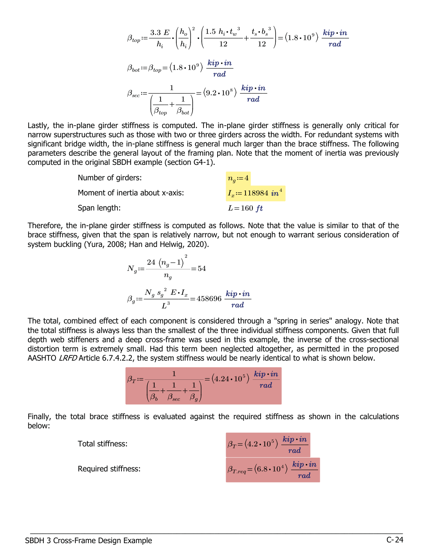$$
\beta_{top} = \frac{3.3 \ E}{h_i} \cdot \left(\frac{h_o}{h_i}\right)^2 \cdot \left(\frac{1.5 \ h_i \cdot t_w^3}{12} + \frac{t_s \cdot b_s^3}{12}\right) = (1.8 \cdot 10^9) \ \frac{kip \cdot in}{rad}
$$
\n
$$
\beta_{bot} := \beta_{top} = (1.8 \cdot 10^9) \ \frac{kip \cdot in}{rad}
$$
\n
$$
\beta_{sec} := \frac{1}{\left(\frac{1}{\beta_{top}} + \frac{1}{\beta_{bot}}\right)} = (9.2 \cdot 10^8) \ \frac{kip \cdot in}{rad}
$$

 $\overline{a}$  $^{\prime}$ Lastly, the in-plane girder stiffness is computed. The in-plane girder stiffness is generally only critical for narrow superstructures such as those with two or three girders across the width. For redundant systems with significant bridge width, the in-plane stiffness is general much larger than the brace stiffness. The following parameters describe the general layout of the framing plan. Note that the moment of inertia was previously computed in the original SBDH example (section G4-1).

| Number of girders:              | $n_a = 4$                      |
|---------------------------------|--------------------------------|
| Moment of inertia about x-axis: | $I_r = 118984$ in <sup>4</sup> |
| Span length:                    | $L = 160$ ft                   |

Therefore, the in-plane girder stiffness is computed as follows. Note that the value is similar to that of the brace stiffness, given that the span is relatively narrow, but not enough to warrant serious consideration of system buckling (Yura, 2008; Han and Helwig, 2020).

$$
N_g \coloneqq \frac{24 (n_g - 1)^2}{n_g} = 54
$$
  

$$
\beta_g \coloneqq \frac{N_g s_g^{2} E \cdot I_x}{L^3} = 458696 \frac{kip \cdot in}{rad}
$$

The total, combined effect of each component is considered through a "spring in series" analogy. Note that the total stiffness is always less than the smallest of the three individual stiffness components. Given that full depth web stiffeners and a deep cross-frame was used in this example, the inverse of the cross-sectional distortion term is extremely small. Had this term been neglected altogether, as permitted in the proposed AASHTO LRFD Article 6.7.4.2.2, the system stiffness would be nearly identical to what is shown below.

$$
\beta_T \! := \! \frac{1}{\left(\frac{1}{\beta_b} \! + \! \frac{1}{\beta_{sec}} \! + \! \frac{1}{\beta_g}\right)} \! = \! \left(4.24 \cdot 10^5\right) \, \frac{\textit{kip} \cdot \textit{in}}{\textit{rad}}
$$

Finally, the total brace stiffness is evaluated against the required stiffness as shown in the calculations below:

| Total stiffness:    | $\beta_T\text{=}\left(4.2\bm{\cdot}10^5\right)\frac{kip\bm{\cdot}in}{rad}$ |
|---------------------|----------------------------------------------------------------------------|
| Required stiffness: | $\beta_{Treq} = (6.8 \cdot 10^4) \; \frac{kip \cdot in}{rad}$              |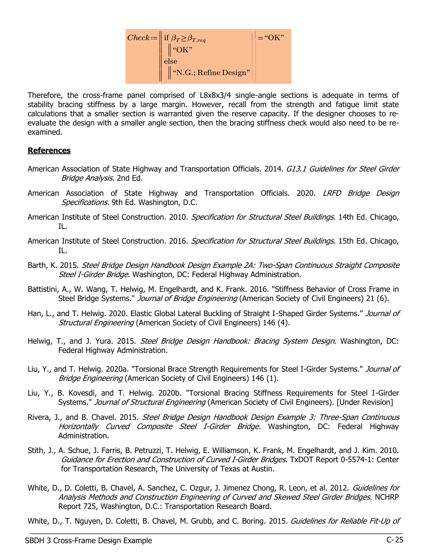

Therefore, the cross-frame panel comprised of L8x8x3/4 single-angle sections is adequate in terms of stability bracing stiffness by a large margin. However, recall from the strength and fatigue limit state calculations that a smaller section is warranted given the reserve capacity. If the designer chooses to reevaluate the design with a smaller angle section, then the bracing stiffness check would also need to be reexamined.

#### References

- American Association of State Highway and Transportation Officials. 2014. G13.1 Guidelines for Steel Girder Bridge Analysis. 2nd Ed.
- American Association of State Highway and Transportation Officials. 2020. LRFD Bridge Design Specifications. 9th Ed. Washington, D.C.
- American Institute of Steel Construction. 2010. Specification for Structural Steel Buildings. 14th Ed. Chicago, IL.
- American Institute of Steel Construction. 2016. Specification for Structural Steel Buildings. 15th Ed. Chicago, IL.
- Barth, K. 2015. Steel Bridge Design Handbook Design Example 2A: Two-Span Continuous Straight Composite Steel I-Girder Bridge. Washington, DC: Federal Highway Administration.
- Battistini, A., W. Wang, T. Helwig, M. Engelhardt, and K. Frank. 2016. "Stiffness Behavior of Cross Frame in Steel Bridge Systems." Journal of Bridge Engineering (American Society of Civil Engineers) 21 (6).
- Han, L., and T. Helwig. 2020. Elastic Global Lateral Buckling of Straight I-Shaped Girder Systems." Journal of Structural Engineering (American Society of Civil Engineers) 146 (4).
- Helwig, T., and J. Yura. 2015. Steel Bridge Design Handbook: Bracing System Design. Washington, DC: Federal Highway Administration.
- Liu, Y., and T. Helwig. 2020a. "Torsional Brace Strength Requirements for Steel I-Girder Systems." *Journal of* Bridge Engineering (American Society of Civil Engineers) 146 (1).
- Liu, Y., B. Kovesdi, and T. Helwig. 2020b. "Torsional Bracing Stiffness Requirements for Steel I-Girder Systems." Journal of Structural Engineering (American Society of Civil Engineers). [Under Revision]
- Rivera, J., and B. Chavel. 2015. Steel Bridge Design Handbook Design Example 3: Three-Span Continuous Horizontally Curved Composite Steel I-Girder Bridge. Washington, DC: Federal Highway Administration.
- Stith, J., A. Schue, J. Farris, B. Petruzzi, T. Helwig, E. Williamson, K. Frank, M. Engelhardt, and J. Kim. 2010. Guidance for Erection and Construction of Curved I-Girder Bridges. TxDOT Report 0-5574-1: Center for Transportation Research, The University of Texas at Austin.
- White, D., D. Coletti, B. Chavel, A. Sanchez, C. Ozgur, J. Jimenez Chong, R. Leon, et al. 2012. Guidelines for Analysis Methods and Construction Engineering of Curved and Skewed Steel Girder Bridges. NCHRP Report 725, Washington, D.C.: Transportation Research Board.

White, D., T. Nguyen, D. Coletti, B. Chavel, M. Grubb, and C. Boring. 2015. Guidelines for Reliable Fit-Up of  $\_$  , and the set of the set of the set of the set of the set of the set of the set of the set of the set of the set of the set of the set of the set of the set of the set of the set of the set of the set of the set of th